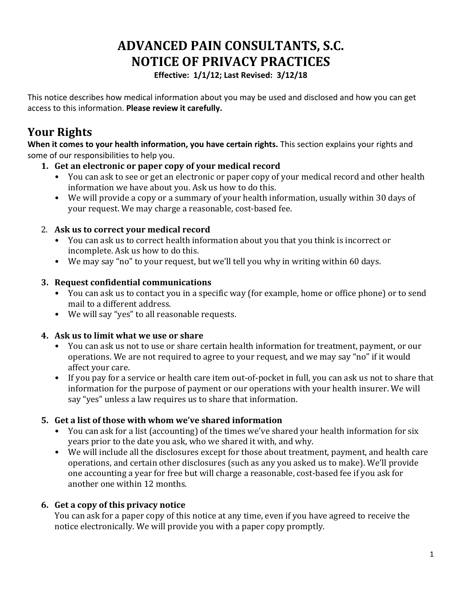# **ADVANCED PAIN CONSULTANTS, S.C. NOTICE OF PRIVACY PRACTICES**

**Effective: 1/1/12; Last Revised: 3/12/18** 

This notice describes how medical information about you may be used and disclosed and how you can get access to this information. Please review it carefully.

# **Your Rights**

When it comes to your health information, you have certain rights. This section explains your rights and some of our responsibilities to help you.

- 1. Get an electronic or paper copy of your medical record
	- You can ask to see or get an electronic or paper copy of your medical record and other health information we have about you. Ask us how to do this.
	- We will provide a copy or a summary of your health information, usually within 30 days of your request. We may charge a reasonable, cost-based fee.

## 2. Ask us to correct your medical record

- You can ask us to correct health information about you that you think is incorrect or incomplete. Ask us how to do this.
- We may say "no" to your request, but we'll tell you why in writing within 60 days.

#### **3. Request confidential communications**

- You can ask us to contact you in a specific way (for example, home or office phone) or to send mail to a different address.
- We will say "yes" to all reasonable requests.

## **4. Ask us to limit what we use or share**

- You can ask us not to use or share certain health information for treatment, payment, or our operations. We are not required to agree to your request, and we may say "no" if it would affect your care.
- If you pay for a service or health care item out-of-pocket in full, you can ask us not to share that information for the purpose of payment or our operations with your health insurer. We will say "yes" unless a law requires us to share that information.

## **5. Get a list of those with whom we've shared information**

- You can ask for a list (accounting) of the times we've shared your health information for six years prior to the date you ask, who we shared it with, and why.
- We will include all the disclosures except for those about treatment, payment, and health care operations, and certain other disclosures (such as any you asked us to make). We'll provide one accounting a year for free but will charge a reasonable, cost-based fee if you ask for another one within 12 months.

## **6.** Get a copy of this privacy notice

You can ask for a paper copy of this notice at any time, even if you have agreed to receive the notice electronically. We will provide you with a paper copy promptly.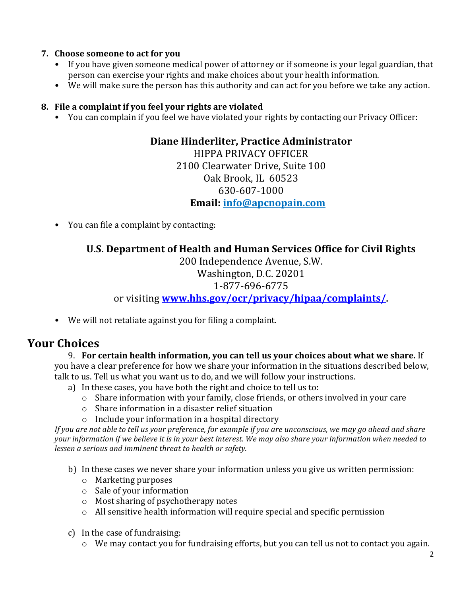#### **7.** Choose someone to act for you

- If you have given someone medical power of attorney or if someone is your legal guardian, that person can exercise your rights and make choices about your health information.
- We will make sure the person has this authority and can act for you before we take any action.

#### **8.** File a complaint if you feel your rights are violated

• You can complain if you feel we have violated your rights by contacting our Privacy Officer:

#### **Diane Hinderliter, Practice Administrator**

HIPPA PRIVACY OFFICER 2100 Clearwater Drive, Suite 100 Oak Brook, IL 60523 630-607-1000 **Email: info@apcnopain.com**

• You can file a complaint by contacting:

## **U.S. Department of Health and Human Services Office for Civil Rights**

200 Independence Avenue, S.W. Washington, D.C. 20201 1-877-696-6775 or visiting **www.hhs.gov/ocr/privacy/hipaa/complaints/**.

• We will not retaliate against you for filing a complaint.

# **Your Choices**

#### 9. For certain health information, you can tell us your choices about what we share. If

you have a clear preference for how we share your information in the situations described below, talk to us. Tell us what you want us to do, and we will follow your instructions.

- a) In these cases, you have both the right and choice to tell us to:
	- $\circ$  Share information with your family, close friends, or others involved in your care
	- $\circ$  Share information in a disaster relief situation
	- $\circ$  Include your information in a hospital directory

*If* you are not able to tell us your preference, for example if you are unconscious, we may go ahead and share *your* information if we believe it is in your best interest. We may also share your information when needed to *lessen a serious and imminent threat to health or safety.*

- b) In these cases we never share your information unless you give us written permission:
	- $\circ$  Marketing purposes
	- $\circ$  Sale of your information
	- $\circ$  Most sharing of psychotherapy notes
	- $\circ$  All sensitive health information will require special and specific permission
- c) In the case of fundraising:
	- $\circ$  We may contact you for fundraising efforts, but you can tell us not to contact you again.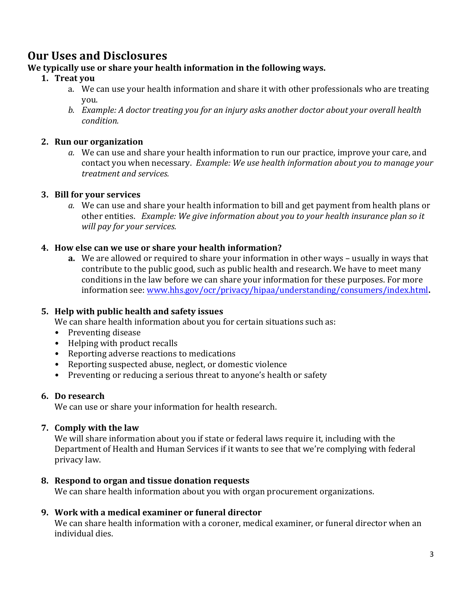## **Our Uses and Disclosures**

#### We typically use or share your health information in the following ways.

#### **1. Treat you**

- a. We can use your health information and share it with other professionals who are treating you.
- *b. Example: A doctor treating you for an injury asks another doctor about your overall health condition.*

#### **2. Run our organization**

a. We can use and share your health information to run our practice, improve your care, and contact you when necessary. *Example: We use health information about you to manage your treatment and services.* 

#### **3. Bill for your services**

*a.* We can use and share your health information to bill and get payment from health plans or other entities. Example: We give information about you to your health insurance plan so it *will pay for your services.* 

#### **4.** How else can we use or share your health information?

**a.** We are allowed or required to share your information in other ways – usually in ways that contribute to the public good, such as public health and research. We have to meet many conditions in the law before we can share your information for these purposes. For more information see: www.hhs.gov/ocr/privacy/hipaa/understanding/consumers/index.html**.**

#### **5.** Help with public health and safety issues

We can share health information about you for certain situations such as:

- Preventing disease
- Helping with product recalls
- Reporting adverse reactions to medications
- Reporting suspected abuse, neglect, or domestic violence
- Preventing or reducing a serious threat to anyone's health or safety

#### **6. Do research**

We can use or share your information for health research.

#### **7. Comply with the law**

We will share information about you if state or federal laws require it, including with the Department of Health and Human Services if it wants to see that we're complying with federal privacy law.

#### **8. Respond to organ and tissue donation requests**

We can share health information about you with organ procurement organizations.

#### **9. Work with a medical examiner or funeral director**

We can share health information with a coroner, medical examiner, or funeral director when an individual dies.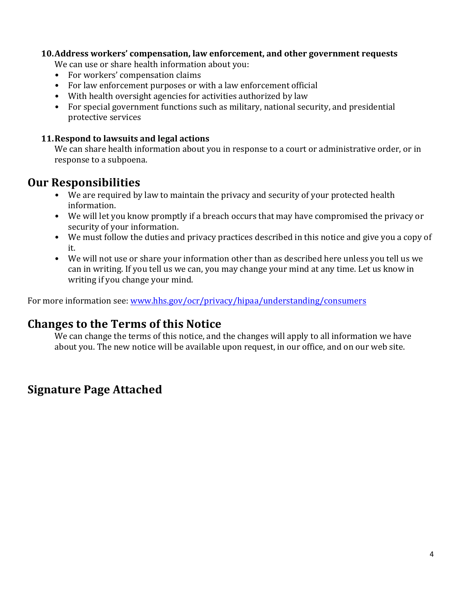#### **10.Address workers' compensation, law enforcement, and other government requests**

We can use or share health information about you:

- For workers' compensation claims
- For law enforcement purposes or with a law enforcement official
- With health oversight agencies for activities authorized by law
- For special government functions such as military, national security, and presidential protective services

#### **11. Respond to lawsuits and legal actions**

We can share health information about you in response to a court or administrative order, or in response to a subpoena.

## **Our Responsibilities**

- We are required by law to maintain the privacy and security of your protected health information.
- We will let you know promptly if a breach occurs that may have compromised the privacy or security of your information.
- We must follow the duties and privacy practices described in this notice and give you a copy of it.
- We will not use or share your information other than as described here unless you tell us we can in writing. If you tell us we can, you may change your mind at any time. Let us know in writing if you change your mind.

For more information see: www.hhs.gov/ocr/privacy/hipaa/understanding/consumers

# **Changes to the Terms of this Notice**

We can change the terms of this notice, and the changes will apply to all information we have about you. The new notice will be available upon request, in our office, and on our web site.

# **Signature Page Attached**